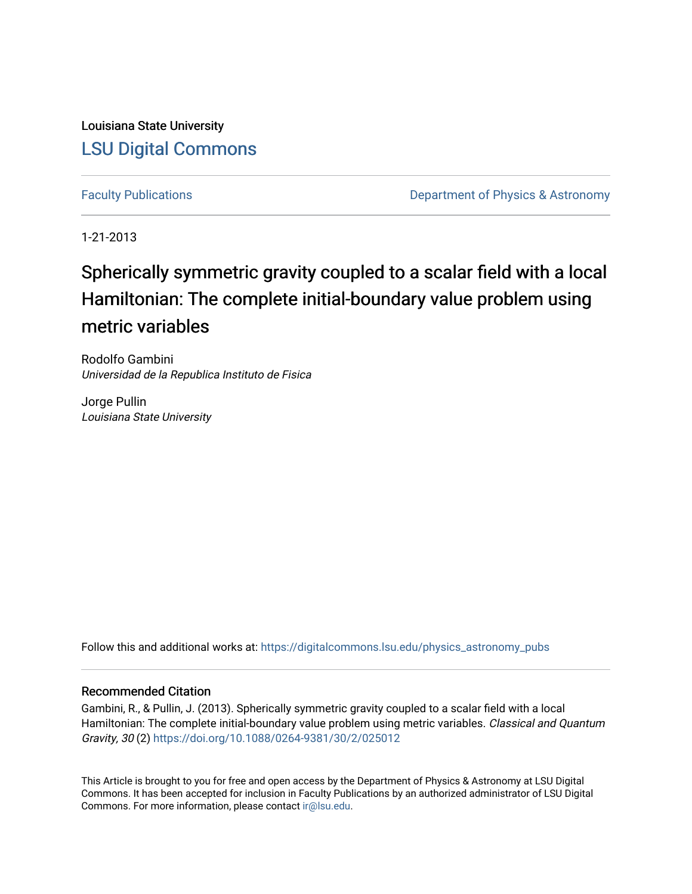Louisiana State University [LSU Digital Commons](https://digitalcommons.lsu.edu/)

[Faculty Publications](https://digitalcommons.lsu.edu/physics_astronomy_pubs) **Exercise 2 and Table 2 and Table 2 and Table 2 and Table 2 and Table 2 and Table 2 and Table 2 and Table 2 and Table 2 and Table 2 and Table 2 and Table 2 and Table 2 and Table 2 and Table 2 and Table** 

1-21-2013

# Spherically symmetric gravity coupled to a scalar field with a local Hamiltonian: The complete initial-boundary value problem using metric variables

Rodolfo Gambini Universidad de la Republica Instituto de Fisica

Jorge Pullin Louisiana State University

Follow this and additional works at: [https://digitalcommons.lsu.edu/physics\\_astronomy\\_pubs](https://digitalcommons.lsu.edu/physics_astronomy_pubs?utm_source=digitalcommons.lsu.edu%2Fphysics_astronomy_pubs%2F4336&utm_medium=PDF&utm_campaign=PDFCoverPages) 

# Recommended Citation

Gambini, R., & Pullin, J. (2013). Spherically symmetric gravity coupled to a scalar field with a local Hamiltonian: The complete initial-boundary value problem using metric variables. Classical and Quantum Gravity, 30 (2) <https://doi.org/10.1088/0264-9381/30/2/025012>

This Article is brought to you for free and open access by the Department of Physics & Astronomy at LSU Digital Commons. It has been accepted for inclusion in Faculty Publications by an authorized administrator of LSU Digital Commons. For more information, please contact [ir@lsu.edu](mailto:ir@lsu.edu).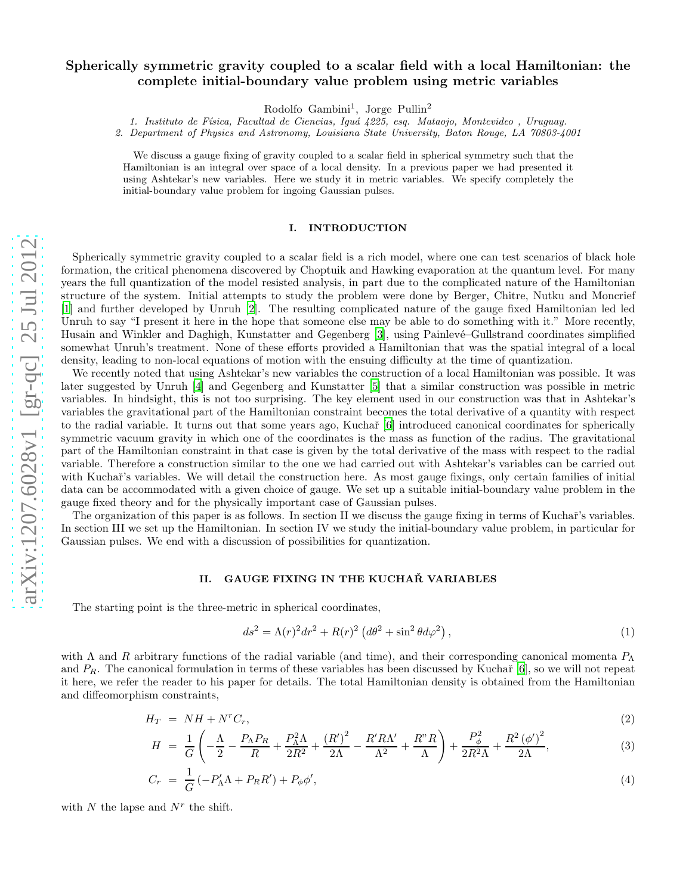# Spherically symmetric gravity coupled to a scalar field with a local Hamiltonian: the complete initial-boundary value problem using metric variables

Rodolfo Gambini 1 , Jorge Pullin 2

1. Instituto de F´ısica, Facultad de Ciencias, Igu´a 4225, esq. Mataojo, Montevideo , Uruguay.

2. Department of Physics and Astronomy, Louisiana State University, Baton Rouge, LA 70803-4001

We discuss a gauge fixing of gravity coupled to a scalar field in spherical symmetry such that the Hamiltonian is an integral over space of a local density. In a previous paper we had presented it using Ashtekar's new variables. Here we study it in metric variables. We specify completely the initial-boundary value problem for ingoing Gaussian pulses.

## I. INTRODUCTION

Spherically symmetric gravity coupled to a scalar field is a rich model, where one can test scenarios of black hole formation, the critical phenomena discovered by Choptuik and Hawking evaporation at the quantum level. For many years the full quantization of the model resisted analysis, in part due to the complicated nature of the Hamiltonian structure of the system. Initial attempts to study the problem were done by Berger, Chitre, Nutku and Moncrief [\[1\]](#page-5-0) and further developed by Unruh [\[2](#page-6-0)]. The resulting complicated nature of the gauge fixed Hamiltonian led led Unruh to say "I present it here in the hope that someone else may be able to do something with it." More recently, Husain and Winkler and Daghigh, Kunstatter and Gegenberg [\[3\]](#page-6-1), using Painlevé–Gullstrand coordinates simplified somewhat Unruh's treatment. None of these efforts provided a Hamiltonian that was the spatial integral of a local density, leading to non-local equations of motion with the ensuing difficulty at the time of quantization.

We recently noted that using Ashtekar's new variables the construction of a local Hamiltonian was possible. It was later suggested by Unruh [\[4\]](#page-6-2) and Gegenberg and Kunstatter [\[5\]](#page-6-3) that a similar construction was possible in metric variables. In hindsight, this is not too surprising. The key element used in our construction was that in Ashtekar's variables the gravitational part of the Hamiltonian constraint becomes the total derivative of a quantity with respect to the radial variable. It turns out that some years ago, Kuchař  $[6]$  introduced canonical coordinates for spherically symmetric vacuum gravity in which one of the coordinates is the mass as function of the radius. The gravitational part of the Hamiltonian constraint in that case is given by the total derivative of the mass with respect to the radial variable. Therefore a construction similar to the one we had carried out with Ashtekar's variables can be carried out with Kuchař's variables. We will detail the construction here. As most gauge fixings, only certain families of initial data can be accommodated with a given choice of gauge. We set up a suitable initial-boundary value problem in the gauge fixed theory and for the physically important case of Gaussian pulses.

The organization of this paper is as follows. In section II we discuss the gauge fixing in terms of Kuchař's variables. In section III we set up the Hamiltonian. In section IV we study the initial-boundary value problem, in particular for Gaussian pulses. We end with a discussion of possibilities for quantization.

# II. GAUGE FIXING IN THE KUCHAŘ VARIABLES

The starting point is the three-metric in spherical coordinates,

$$
ds^{2} = \Lambda(r)^{2}dr^{2} + R(r)^{2} \left(d\theta^{2} + \sin^{2}\theta d\varphi^{2}\right),
$$
\n(1)

with  $\Lambda$  and  $R$  arbitrary functions of the radial variable (and time), and their corresponding canonical momenta  $P_{\Lambda}$ and  $P_R$ . The canonical formulation in terms of these variables has been discussed by Kuchař [\[6](#page-6-4)], so we will not repeat it here, we refer the reader to his paper for details. The total Hamiltonian density is obtained from the Hamiltonian and diffeomorphism constraints,

$$
H_T = NH + N^r C_r, \tag{2}
$$

$$
H = \frac{1}{G} \left( -\frac{\Lambda}{2} - \frac{P_{\Lambda} P_{R}}{R} + \frac{P_{\Lambda}^{2} \Lambda}{2R^{2}} + \frac{(R')^{2}}{2\Lambda} - \frac{R' R \Lambda'}{\Lambda^{2}} + \frac{R'' R}{\Lambda} \right) + \frac{P_{\phi}^{2}}{2R^{2} \Lambda} + \frac{R^{2} (\phi')^{2}}{2\Lambda},
$$
(3)

$$
C_r = \frac{1}{G} \left( -P'_{\Lambda} \Lambda + P_R R' \right) + P_{\phi} \phi', \tag{4}
$$

with  $N$  the lapse and  $N^r$  the shift.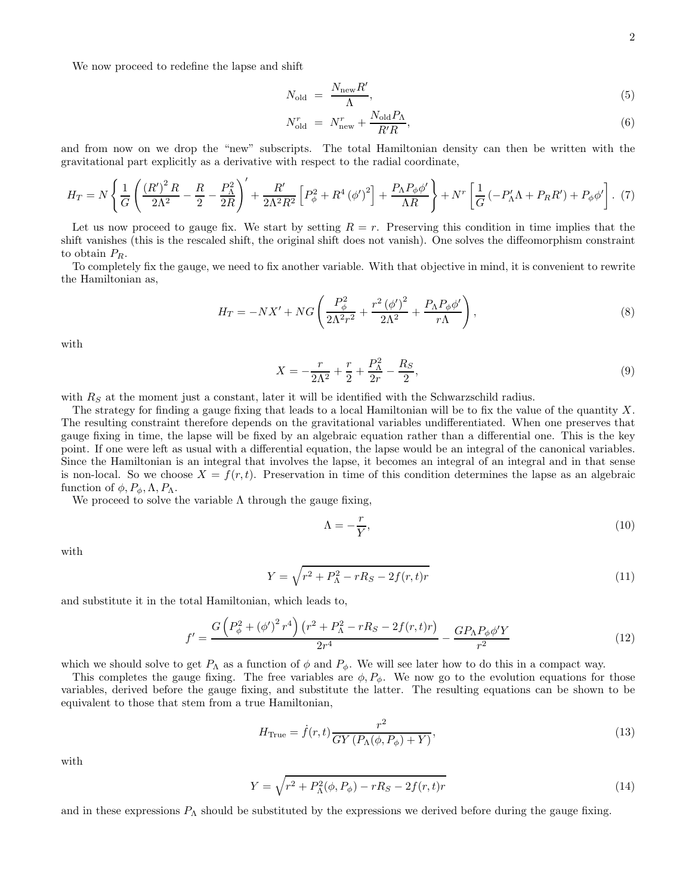We now proceed to redefine the lapse and shift

$$
N_{\rm old} = \frac{N_{\rm new} R'}{\Lambda},\tag{5}
$$

$$
N_{\text{old}}^r = N_{\text{new}}^r + \frac{N_{\text{old}} P_{\Lambda}}{R'R},\tag{6}
$$

and from now on we drop the "new" subscripts. The total Hamiltonian density can then be written with the gravitational part explicitly as a derivative with respect to the radial coordinate,

$$
H_T = N \left\{ \frac{1}{G} \left( \frac{(R')^2 R}{2\Lambda^2} - \frac{R}{2} - \frac{P_{\Lambda}^2}{2R} \right)' + \frac{R'}{2\Lambda^2 R^2} \left[ P_{\phi}^2 + R^4 (\phi')^2 \right] + \frac{P_{\Lambda} P_{\phi} \phi'}{\Lambda R} \right\} + N^r \left[ \frac{1}{G} \left( -P_{\Lambda}' \Lambda + P_R R' \right) + P_{\phi} \phi' \right].
$$
 (7)

Let us now proceed to gauge fix. We start by setting  $R = r$ . Preserving this condition in time implies that the shift vanishes (this is the rescaled shift, the original shift does not vanish). One solves the diffeomorphism constraint to obtain  $P_R$ .

To completely fix the gauge, we need to fix another variable. With that objective in mind, it is convenient to rewrite the Hamiltonian as,

<span id="page-2-1"></span>
$$
H_T = -NX' + NG\left(\frac{P_\phi^2}{2\Lambda^2 r^2} + \frac{r^2 \left(\phi'\right)^2}{2\Lambda^2} + \frac{P_\Lambda P_\phi \phi'}{r\Lambda}\right),\tag{8}
$$

with

<span id="page-2-0"></span>
$$
X = -\frac{r}{2\Lambda^2} + \frac{r}{2} + \frac{P_{\Lambda}^2}{2r} - \frac{R_S}{2},\tag{9}
$$

with  $R<sub>S</sub>$  at the moment just a constant, later it will be identified with the Schwarzschild radius.

The strategy for finding a gauge fixing that leads to a local Hamiltonian will be to fix the value of the quantity X. The resulting constraint therefore depends on the gravitational variables undifferentiated. When one preserves that gauge fixing in time, the lapse will be fixed by an algebraic equation rather than a differential one. This is the key point. If one were left as usual with a differential equation, the lapse would be an integral of the canonical variables. Since the Hamiltonian is an integral that involves the lapse, it becomes an integral of an integral and in that sense is non-local. So we choose  $X = f(r, t)$ . Preservation in time of this condition determines the lapse as an algebraic function of  $\phi$ ,  $P_{\phi}$ ,  $\Lambda$ ,  $P_{\Lambda}$ .

We proceed to solve the variable  $\Lambda$  through the gauge fixing,

$$
\Lambda = -\frac{r}{Y},\tag{10}
$$

with

$$
Y = \sqrt{r^2 + P_{\Lambda}^2 - rR_S - 2f(r, t)r}
$$
\n(11)

and substitute it in the total Hamiltonian, which leads to,

$$
f' = \frac{G\left(P_{\phi}^{2} + (\phi')^{2} r^{4}\right) \left(r^{2} + P_{\Lambda}^{2} - rR_{S} - 2f(r, t)r\right)}{2r^{4}} - \frac{G P_{\Lambda} P_{\phi} \phi' Y}{r^{2}}
$$
(12)

which we should solve to get  $P_{\Lambda}$  as a function of  $\phi$  and  $P_{\phi}$ . We will see later how to do this in a compact way.

This completes the gauge fixing. The free variables are  $\phi$ ,  $P_{\phi}$ . We now go to the evolution equations for those variables, derived before the gauge fixing, and substitute the latter. The resulting equations can be shown to be equivalent to those that stem from a true Hamiltonian,

$$
H_{\text{True}} = \dot{f}(r, t) \frac{r^2}{GY\left(P_{\Lambda}(\phi, P_{\phi}) + Y\right)},\tag{13}
$$

with

$$
Y = \sqrt{r^2 + P_{\Lambda}^2(\phi, P_{\phi}) - rR_S - 2f(r, t)r}
$$
\n(14)

and in these expressions  $P_{\Lambda}$  should be substituted by the expressions we derived before during the gauge fixing.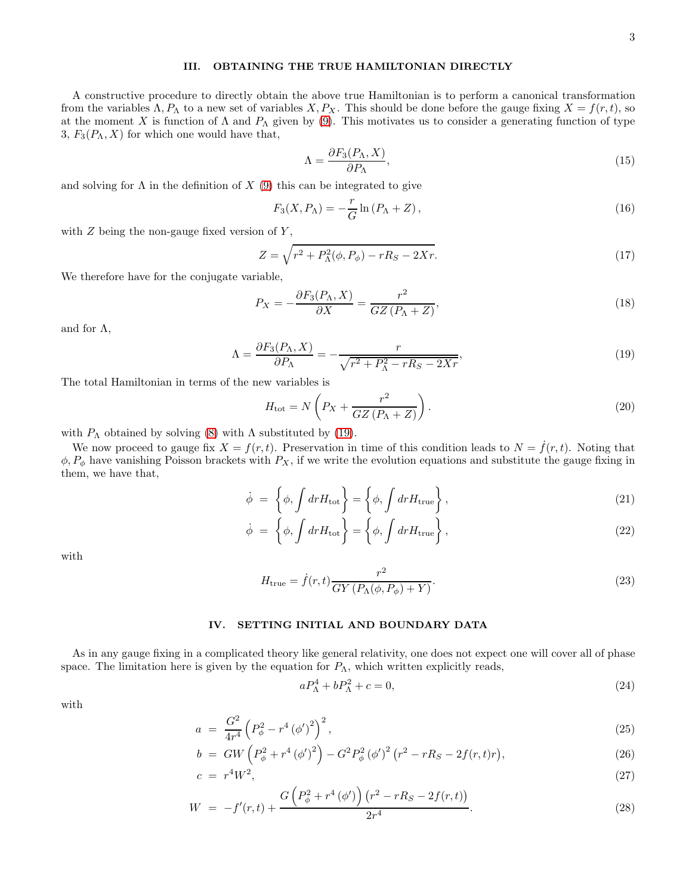### III. OBTAINING THE TRUE HAMILTONIAN DIRECTLY

A constructive procedure to directly obtain the above true Hamiltonian is to perform a canonical transformation from the variables  $\Lambda$ ,  $P_{\Lambda}$  to a new set of variables  $X$ ,  $P_X$ . This should be done before the gauge fixing  $X = f(r, t)$ , so at the moment X is function of  $\Lambda$  and  $P_{\Lambda}$  given by [\(9\)](#page-2-0). This motivates us to consider a generating function of type 3,  $F_3(P_\Lambda, X)$  for which one would have that,

$$
\Lambda = \frac{\partial F_3(P_\Lambda, X)}{\partial P_\Lambda},\tag{15}
$$

and solving for  $\Lambda$  in the definition of  $X(9)$  $X(9)$  this can be integrated to give

$$
F_3(X, P_\Lambda) = -\frac{r}{G} \ln \left( P_\Lambda + Z \right),\tag{16}
$$

with  $Z$  being the non-gauge fixed version of  $Y$ ,

$$
Z = \sqrt{r^2 + P_{\Lambda}^2(\phi, P_{\phi}) - rR_S - 2Xr}.\tag{17}
$$

We therefore have for the conjugate variable,

$$
P_X = -\frac{\partial F_3(P_\Lambda, X)}{\partial X} = \frac{r^2}{GZ(P_\Lambda + Z)},\tag{18}
$$

and for  $\Lambda$ ,

<span id="page-3-0"></span>
$$
\Lambda = \frac{\partial F_3(P_\Lambda, X)}{\partial P_\Lambda} = -\frac{r}{\sqrt{r^2 + P_\Lambda^2 - rR_S - 2Xr}},\tag{19}
$$

The total Hamiltonian in terms of the new variables is

$$
H_{\text{tot}} = N\left(P_X + \frac{r^2}{GZ\left(P_\Lambda + Z\right)}\right). \tag{20}
$$

with  $P_{\Lambda}$  obtained by solving [\(8\)](#page-2-1) with  $\Lambda$  substituted by [\(19\)](#page-3-0).

We now proceed to gauge fix  $X = f(r, t)$ . Preservation in time of this condition leads to  $N = \dot{f}(r, t)$ . Noting that  $\phi$ ,  $P_{\phi}$  have vanishing Poisson brackets with  $P_X$ , if we write the evolution equations and substitute the gauge fixing in them, we have that,

$$
\dot{\phi} = \left\{ \phi, \int dr H_{\text{tot}} \right\} = \left\{ \phi, \int dr H_{\text{true}} \right\},\tag{21}
$$

$$
\dot{\phi} = \left\{ \phi, \int dr H_{\text{tot}} \right\} = \left\{ \phi, \int dr H_{\text{true}} \right\},\tag{22}
$$

with

$$
H_{\text{true}} = \dot{f}(r, t) \frac{r^2}{GY\left(P_{\Lambda}(\phi, P_{\phi}) + Y\right)}.\tag{23}
$$

#### IV. SETTING INITIAL AND BOUNDARY DATA

As in any gauge fixing in a complicated theory like general relativity, one does not expect one will cover all of phase space. The limitation here is given by the equation for  $P_{\Lambda}$ , which written explicitly reads,

<span id="page-3-1"></span>
$$
aP_{\Lambda}^{4} + bP_{\Lambda}^{2} + c = 0, \qquad (24)
$$

with

$$
a = \frac{G^2}{4r^4} \left( P_\phi^2 - r^4 \left( \phi' \right)^2 \right)^2, \tag{25}
$$

$$
b = GW \left( P_{\phi}^2 + r^4 (\phi')^2 \right) - G^2 P_{\phi}^2 (\phi')^2 (r^2 - rR_S - 2f(r, t)r), \qquad (26)
$$

$$
c = r^4 W^2,\tag{27}
$$

$$
W = -f'(r,t) + \frac{G\left(P_{\phi}^2 + r^4\left(\phi'\right)\right)\left(r^2 - rR_S - 2f(r,t)\right)}{2r^4}.
$$
\n(28)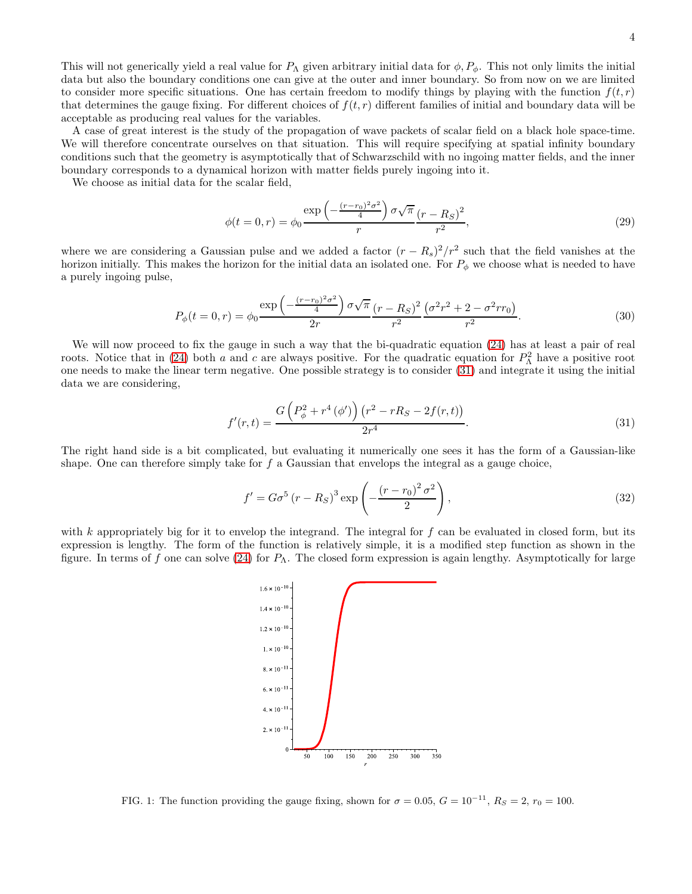This will not generically yield a real value for  $P_{\Lambda}$  given arbitrary initial data for  $\phi, P_{\phi}$ . This not only limits the initial data but also the boundary conditions one can give at the outer and inner boundary. So from now on we are limited to consider more specific situations. One has certain freedom to modify things by playing with the function  $f(t, r)$ that determines the gauge fixing. For different choices of  $f(t, r)$  different families of initial and boundary data will be acceptable as producing real values for the variables.

A case of great interest is the study of the propagation of wave packets of scalar field on a black hole space-time. We will therefore concentrate ourselves on that situation. This will require specifying at spatial infinity boundary conditions such that the geometry is asymptotically that of Schwarzschild with no ingoing matter fields, and the inner boundary corresponds to a dynamical horizon with matter fields purely ingoing into it.

We choose as initial data for the scalar field,

$$
\phi(t = 0, r) = \phi_0 \frac{\exp\left(-\frac{(r - r_0)^2 \sigma^2}{4}\right) \sigma \sqrt{\pi}}{r} \frac{(r - R_S)^2}{r^2},\tag{29}
$$

where we are considering a Gaussian pulse and we added a factor  $(r - R_s)^2/r^2$  such that the field vanishes at the<br>hardconinitially This product he hardcon for the initial data on inducted and Fin B are chosen what is needed horizon initially. This makes the horizon for the initial data an isolated one. For  $P_{\phi}$  we choose what is needed to have a purely ingoing pulse,

$$
P_{\phi}(t=0,r) = \phi_0 \frac{\exp\left(-\frac{(r-r_0)^2 \sigma^2}{4}\right) \sigma \sqrt{\pi}}{2r} \frac{(r-R_S)^2}{r^2} \frac{(\sigma^2 r^2 + 2 - \sigma^2 r r_0)}{r^2}.
$$
 (30)

We will now proceed to fix the gauge in such a way that the bi-quadratic equation [\(24\)](#page-3-1) has at least a pair of real roots. Notice that in [\(24\)](#page-3-1) both a and c are always positive. For the quadratic equation for  $P_{\Lambda}^2$  have a positive root one needs to make the linear term negative. One possible strategy is to consider [\(31\)](#page-4-0) and integrate it using the initial data we are considering,

<span id="page-4-0"></span>
$$
f'(r,t) = \frac{G\left(P_{\phi}^2 + r^4\left(\phi'\right)\right)\left(r^2 - rR_S - 2f(r,t)\right)}{2r^4}.
$$
\n(31)

The right hand side is a bit complicated, but evaluating it numerically one sees it has the form of a Gaussian-like shape. One can therefore simply take for f a Gaussian that envelops the integral as a gauge choice,

<span id="page-4-1"></span>
$$
f' = G\sigma^5 (r - R_S)^3 \exp\left(-\frac{(r - r_0)^2 \sigma^2}{2}\right),\tag{32}
$$

with k appropriately big for it to envelop the integrand. The integral for  $f$  can be evaluated in closed form, but its expression is lengthy. The form of the function is relatively simple, it is a modified step function as shown in the figure. In terms of f one can solve [\(24\)](#page-3-1) for  $P_{\Lambda}$ . The closed form expression is again lengthy. Asymptotically for large



FIG. 1: The function providing the gauge fixing, shown for  $\sigma = 0.05$ ,  $G = 10^{-11}$ ,  $R_S = 2$ ,  $r_0 = 100$ .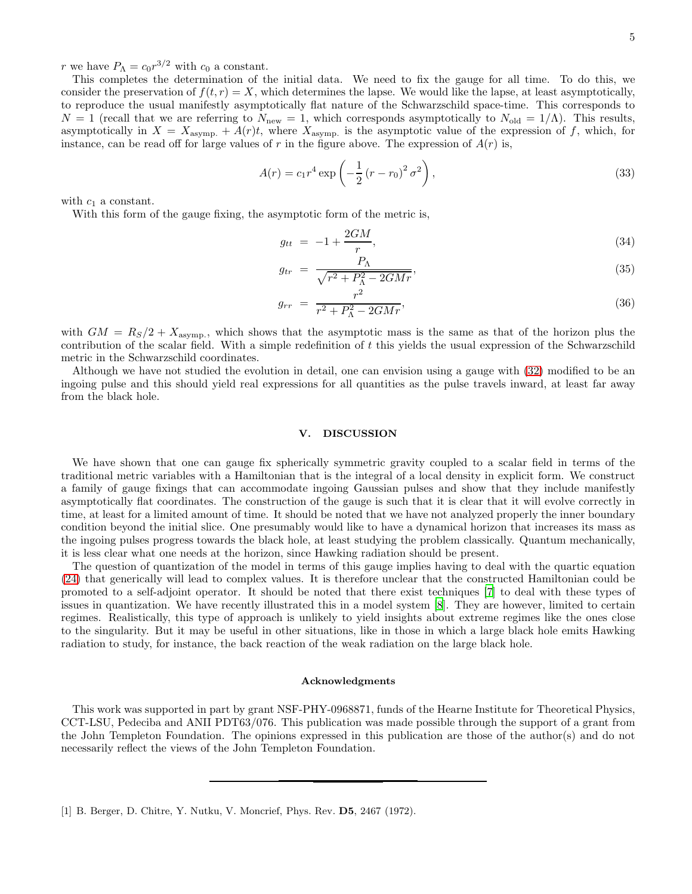r we have  $P_{\Lambda} = c_0 r^{3/2}$  with  $c_0$  a constant.

This completes the determination of the initial data. We need to fix the gauge for all time. To do this, we consider the preservation of  $f(t, r) = X$ , which determines the lapse. We would like the lapse, at least asymptotically, to reproduce the usual manifestly asymptotically flat nature of the Schwarzschild space-time. This corresponds to  $N = 1$  (recall that we are referring to  $N_{\text{new}} = 1$ , which corresponds asymptotically to  $N_{\text{old}} = 1/\Lambda$ ). This results, asymptotically in  $X = X_{\text{asymp}} + A(r)t$ , where  $X_{\text{asymp}}$  is the asymptotic value of the expression of f, which, for instance, can be read off for large values of r in the figure above. The expression of  $A(r)$  is,

$$
A(r) = c_1 r^4 \exp\left(-\frac{1}{2} (r - r_0)^2 \sigma^2\right),
$$
\n(33)

with  $c_1$  a constant.

With this form of the gauge fixing, the asymptotic form of the metric is,

$$
g_{tt} = -1 + \frac{2GM}{r}, \tag{34}
$$

$$
g_{tr} = \frac{P_{\Lambda}}{\sqrt{r^2 + P_{\Lambda}^2 - 2GMr}},\tag{35}
$$

$$
g_{rr} = \frac{r^2}{r^2 + P_{\Lambda}^2 - 2GMr},\tag{36}
$$

with  $GM = R<sub>S</sub>/2 + X<sub>asymp</sub>$ , which shows that the asymptotic mass is the same as that of the horizon plus the contribution of the scalar field. With a simple redefinition of  $t$  this yields the usual expression of the Schwarzschild metric in the Schwarzschild coordinates.

Although we have not studied the evolution in detail, one can envision using a gauge with [\(32\)](#page-4-1) modified to be an ingoing pulse and this should yield real expressions for all quantities as the pulse travels inward, at least far away from the black hole.

#### V. DISCUSSION

We have shown that one can gauge fix spherically symmetric gravity coupled to a scalar field in terms of the traditional metric variables with a Hamiltonian that is the integral of a local density in explicit form. We construct a family of gauge fixings that can accommodate ingoing Gaussian pulses and show that they include manifestly asymptotically flat coordinates. The construction of the gauge is such that it is clear that it will evolve correctly in time, at least for a limited amount of time. It should be noted that we have not analyzed properly the inner boundary condition beyond the initial slice. One presumably would like to have a dynamical horizon that increases its mass as the ingoing pulses progress towards the black hole, at least studying the problem classically. Quantum mechanically, it is less clear what one needs at the horizon, since Hawking radiation should be present.

The question of quantization of the model in terms of this gauge implies having to deal with the quartic equation [\(24\)](#page-3-1) that generically will lead to complex values. It is therefore unclear that the constructed Hamiltonian could be promoted to a self-adjoint operator. It should be noted that there exist techniques [\[7\]](#page-6-5) to deal with these types of issues in quantization. We have recently illustrated this in a model system [\[8\]](#page-6-6). They are however, limited to certain regimes. Realistically, this type of approach is unlikely to yield insights about extreme regimes like the ones close to the singularity. But it may be useful in other situations, like in those in which a large black hole emits Hawking radiation to study, for instance, the back reaction of the weak radiation on the large black hole.

#### Acknowledgments

<span id="page-5-0"></span>This work was supported in part by grant NSF-PHY-0968871, funds of the Hearne Institute for Theoretical Physics, CCT-LSU, Pedeciba and ANII PDT63/076. This publication was made possible through the support of a grant from the John Templeton Foundation. The opinions expressed in this publication are those of the author(s) and do not necessarily reflect the views of the John Templeton Foundation.